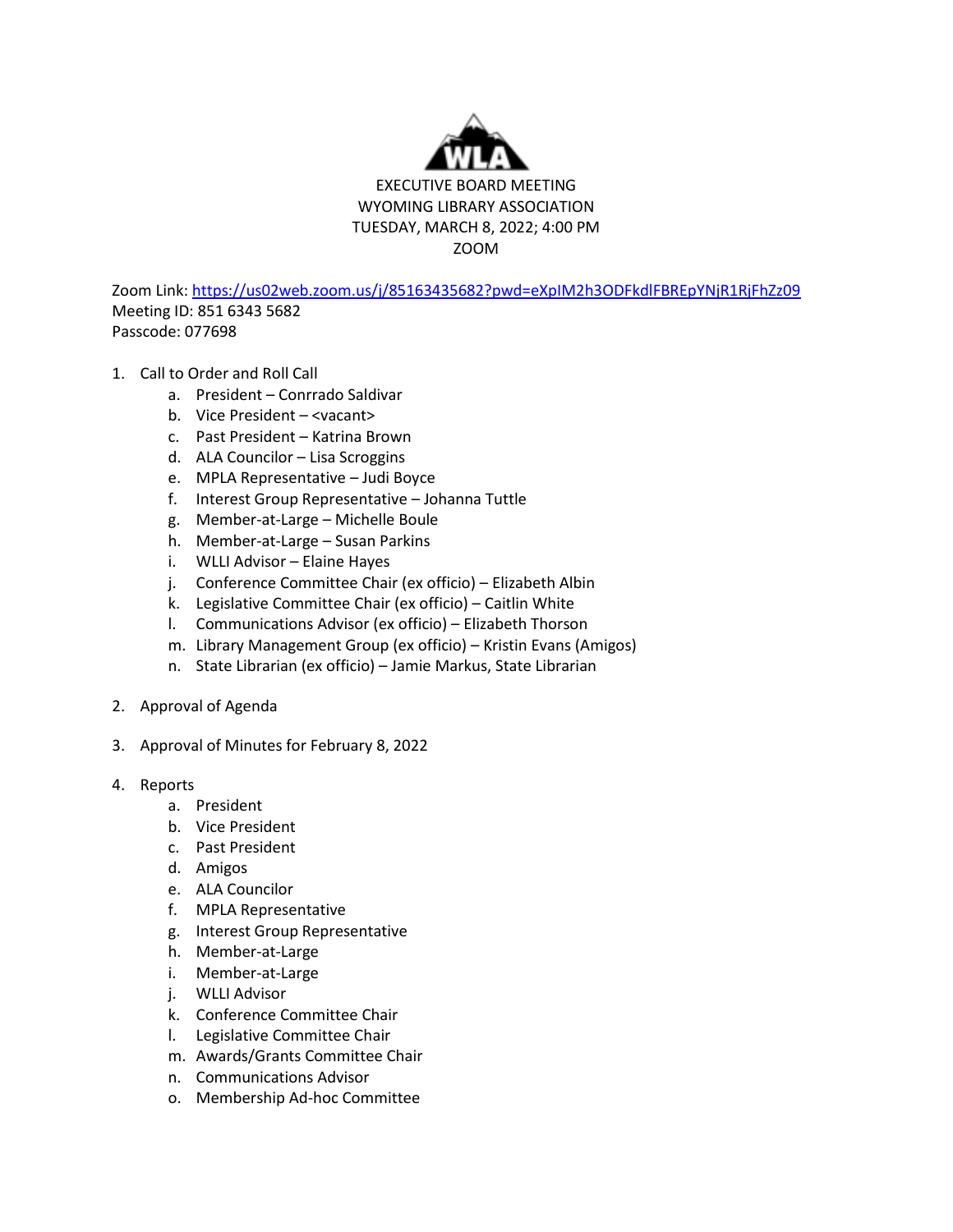

Zoom Link[: https://us02web.zoom.us/j/85163435682?pwd=eXpIM2h3ODFkdlFBREpYNjR1RjFhZz09](https://us02web.zoom.us/j/85163435682?pwd=eXpIM2h3ODFkdlFBREpYNjR1RjFhZz09) Meeting ID: 851 6343 5682 Passcode: 077698

- 1. Call to Order and Roll Call
	- a. President Conrrado Saldivar
	- b. Vice President <vacant>
	- c. Past President Katrina Brown
	- d. ALA Councilor Lisa Scroggins
	- e. MPLA Representative Judi Boyce
	- f. Interest Group Representative Johanna Tuttle
	- g. Member-at-Large Michelle Boule
	- h. Member-at-Large Susan Parkins
	- i. WLLI Advisor Elaine Hayes
	- j. Conference Committee Chair (ex officio) Elizabeth Albin
	- k. Legislative Committee Chair (ex officio) Caitlin White
	- l. Communications Advisor (ex officio) Elizabeth Thorson
	- m. Library Management Group (ex officio) Kristin Evans (Amigos)
	- n. State Librarian (ex officio) Jamie Markus, State Librarian
- 2. Approval of Agenda
- 3. Approval of Minutes for February 8, 2022
- 4. Reports
	- a. President
	- b. Vice President
	- c. Past President
	- d. Amigos
	- e. ALA Councilor
	- f. MPLA Representative
	- g. Interest Group Representative
	- h. Member-at-Large
	- i. Member-at-Large
	- j. WLLI Advisor
	- k. Conference Committee Chair
	- l. Legislative Committee Chair
	- m. Awards/Grants Committee Chair
	- n. Communications Advisor
	- o. Membership Ad-hoc Committee